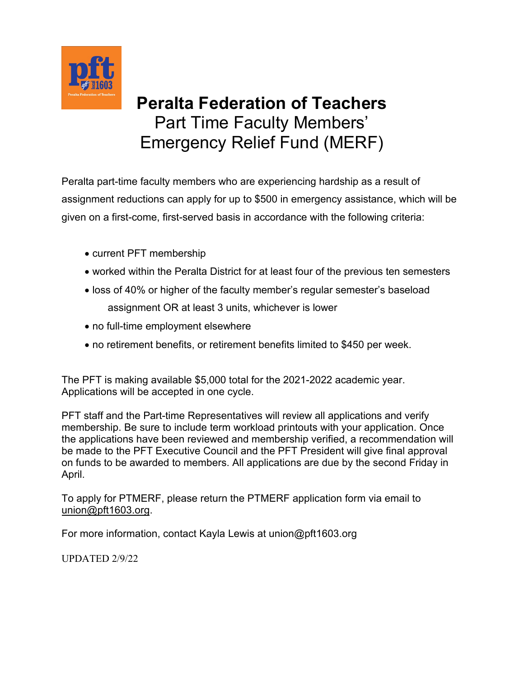

## **Peralta Federation of Teachers** Part Time Faculty Members' Emergency Relief Fund (MERF)

Peralta part-time faculty members who are experiencing hardship as a result of assignment reductions can apply for up to \$500 in emergency assistance, which will be given on a first-come, first-served basis in accordance with the following criteria:

- current PFT membership
- worked within the Peralta District for at least four of the previous ten semesters
- loss of 40% or higher of the faculty member's regular semester's baseload assignment OR at least 3 units, whichever is lower
- no full-time employment elsewhere
- no retirement benefits, or retirement benefits limited to \$450 per week.

The PFT is making available \$5,000 total for the 2021-2022 academic year. Applications will be accepted in one cycle.

PFT staff and the Part-time Representatives will review all applications and verify membership. Be sure to include term workload printouts with your application. Once the applications have been reviewed and membership verified, a recommendation will be made to the PFT Executive Council and the PFT President will give final approval on funds to be awarded to members. All applications are due by the second Friday in April.

To apply for PTMERF, please return the PTMERF application form via email to [union@pft1603.org](mailto:union@pft1603.org).

For more information, contact Kayla Lewis at union@pft1603.org

UPDATED 2/9/22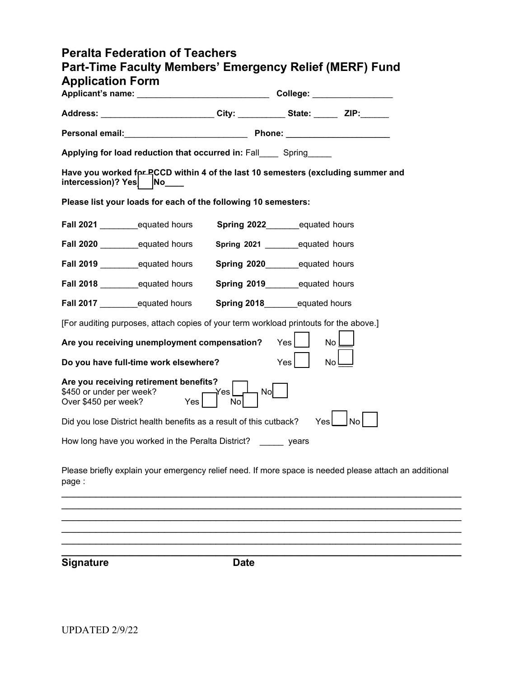| <b>Peralta Federation of Teachers</b><br>Part-Time Faculty Members' Emergency Relief (MERF) Fund<br><b>Application Form</b> |                                      |                                   |             |  |
|-----------------------------------------------------------------------------------------------------------------------------|--------------------------------------|-----------------------------------|-------------|--|
|                                                                                                                             |                                      |                                   |             |  |
| Address: ___________________________City: ____________State: ________ZIP:_______                                            |                                      |                                   |             |  |
|                                                                                                                             |                                      |                                   |             |  |
| Applying for load reduction that occurred in: Fall Spring                                                                   |                                      |                                   |             |  |
| Have you worked for RCCD within 4 of the last 10 semesters (excluding summer and<br>intercession)? Yes No                   |                                      |                                   |             |  |
| Please list your loads for each of the following 10 semesters:                                                              |                                      |                                   |             |  |
| Fall 2021 _______equated hours                                                                                              |                                      | Spring 2022_________equated hours |             |  |
| Fall 2020 equated hours                                                                                                     | Spring 2021 __________ equated hours |                                   |             |  |
|                                                                                                                             | Spring 2020_________equated hours    |                                   |             |  |
| Fall 2018 ___________equated hours                                                                                          | Spring 2019__________equated hours   |                                   |             |  |
| Fall 2017 ___________equated hours                                                                                          | Spring 2018_________equated hours    |                                   |             |  |
| [For auditing purposes, attach copies of your term workload printouts for the above.]                                       |                                      |                                   |             |  |
| Are you receiving unemployment compensation?                                                                                |                                      | $Yes$                             | $No$ $\Box$ |  |
| Do you have full-time work elsewhere?                                                                                       |                                      | Yes <sub>l</sub>                  | No L        |  |
| Are you receiving retirement benefits?<br>\$450 or under per week?<br>Over \$450 per week? Yes No No No No                  |                                      |                                   |             |  |
| Did you lose District health benefits as a result of this cutback? $Yes$ $  No  $                                           |                                      |                                   |             |  |
| How long have you worked in the Peralta District? ______ years                                                              |                                      |                                   |             |  |
| Diogge briefly explain your emergency relief need. If mere enges is needed please attach of                                 |                                      |                                   |             |  |

Please briefly explain your emergency relief need. If more space is needed please attach an additional page :

\_\_\_\_\_\_\_\_\_\_\_\_\_\_\_\_\_\_\_\_\_\_\_\_\_\_\_\_\_\_\_\_\_\_\_\_\_\_\_\_\_\_\_\_\_\_\_\_\_\_\_\_\_\_\_\_\_\_\_\_\_\_\_\_\_\_\_\_\_\_ \_\_\_\_\_\_\_\_\_\_\_\_\_\_\_\_\_\_\_\_\_\_\_\_\_\_\_\_\_\_\_\_\_\_\_\_\_\_\_\_\_\_\_\_\_\_\_\_\_\_\_\_\_\_\_\_\_\_\_\_\_\_\_\_\_\_\_\_\_\_ \_\_\_\_\_\_\_\_\_\_\_\_\_\_\_\_\_\_\_\_\_\_\_\_\_\_\_\_\_\_\_\_\_\_\_\_\_\_\_\_\_\_\_\_\_\_\_\_\_\_\_\_\_\_\_\_\_\_\_\_\_\_\_\_\_\_\_\_\_\_ \_\_\_\_\_\_\_\_\_\_\_\_\_\_\_\_\_\_\_\_\_\_\_\_\_\_\_\_\_\_\_\_\_\_\_\_\_\_\_\_\_\_\_\_\_\_\_\_\_\_\_\_\_\_\_\_\_\_\_\_\_\_\_\_\_\_\_\_\_\_ \_\_\_\_\_\_\_\_\_\_\_\_\_\_\_\_\_\_\_\_\_\_\_\_\_\_\_\_\_\_\_\_\_\_\_\_\_\_\_\_\_\_\_\_\_\_\_\_\_\_\_\_\_\_\_\_\_\_\_\_\_\_\_\_\_\_\_\_\_\_

**Signature Date**

**\_\_\_\_\_\_\_\_\_\_\_\_\_\_\_\_\_\_\_\_\_\_\_\_\_\_\_\_\_\_\_\_\_\_\_\_\_\_\_\_\_\_\_\_\_\_\_\_\_\_\_\_\_\_\_\_\_\_\_\_\_\_\_\_\_\_\_\_\_\_**